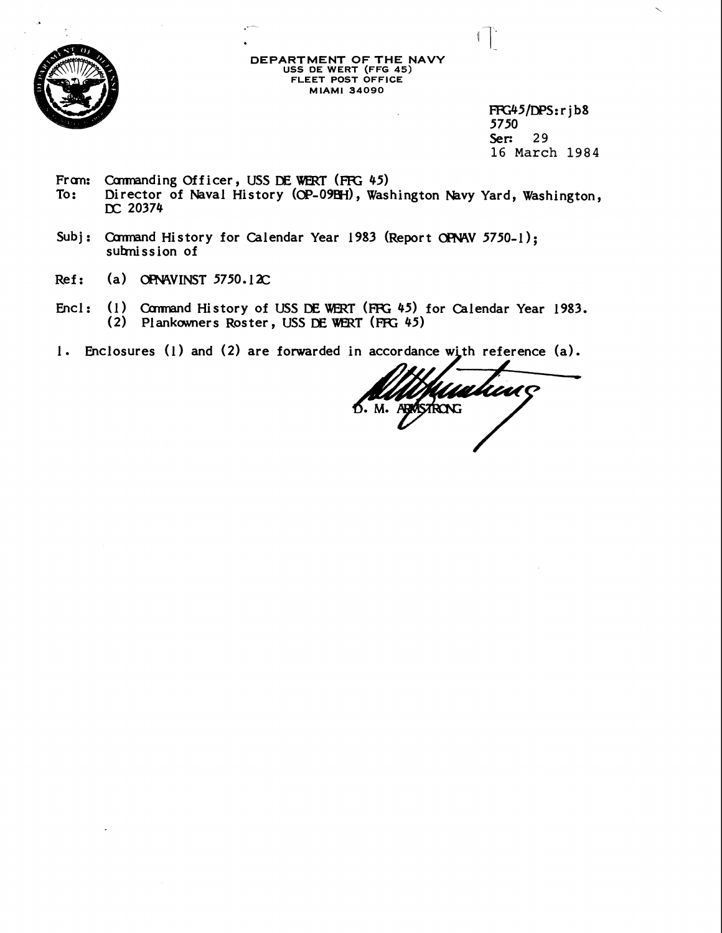

**DEPARTMENT OF THE NAVY USS DE WERT (FFG 45) FLEET POST OFFICE MIAMI 34090** 

 $\overline{a}$ 

FFG45/DPS:rib8 5750 **Ser: 29 16 March 1984** 

 $\blacksquare$ 

Fram: Cannanding Officer, USS DE WERT (FFG 45)<br>To: Director of Naval History (OP-09EH), Was Director of Naval History (OP-09EH), Washington Navy Yard, Washington, **JX 20374** 

Subj: Command History for Calendar Year 1983 (Report OFNAV 5750-1); **subnission of** 

--

- **Ref:** (a) OPNAVINST 5750.12C
- Encl: (1) Command History of USS DE WERT (FFG 45) for Calendar Year 1983. (2) Plankowners Roster, USS DE WERT (FFG 45)
- 1. Enclosures (1) and (2) are forwarded in accordance with reference (a).

UMC D. M. ABRISTRONG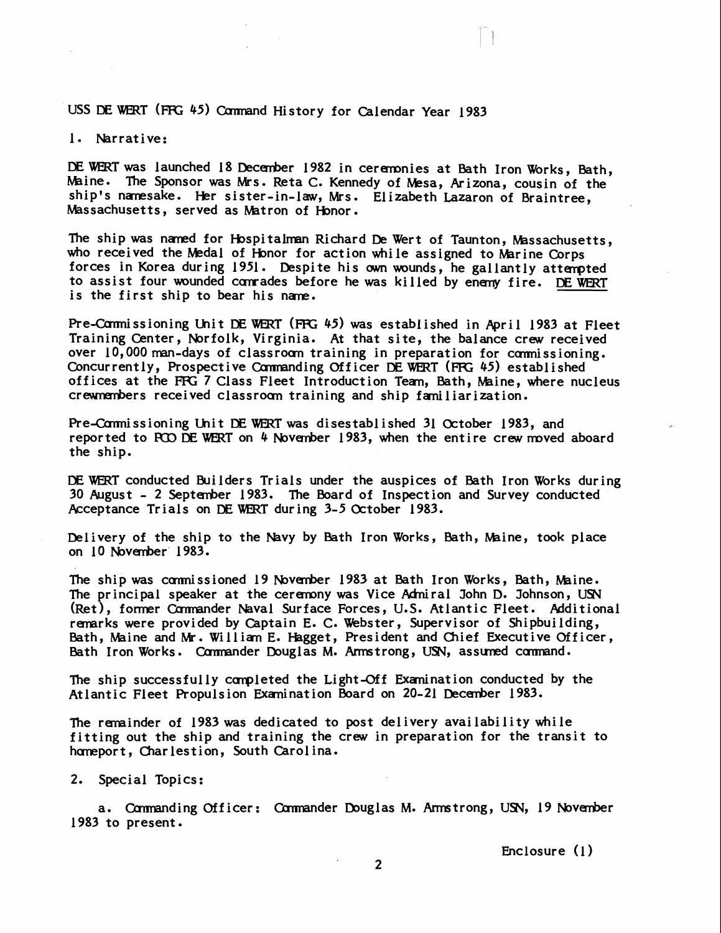USS DE WERT (FFG 45) Command History for Calendar Year 1983

#### 1. Narrative:

DE WERT was launched 18 December 1982 in ceremonies at Bath Iron Works, Bath, Maine. The Sponsor was Mrs. Reta C. Kennedy of Mesa, Arizona, cousin of the ship's nanesake. Her sister-in-law, Mrs. Elizabeth Lazaron of Braintree, Massachusetts, served as Matron of Honor.

The ship was naned for Hospitalman Richard De Wert of Taunton, Massachusetts, who received the Medal of Honor for action while assigned to Marine Corps forces in Korea during 1951. Despite his own wounds, he gallantly attempted to assist four wounded comrades before he was killed by enemy fire. DE WERT is the first ship to bear his nane.

Pre-Carmissioning Unit DE WERT (FFG 45) was established in April 1983 at Fleet Training Center, Norfolk, Virginia. At that site, the balance crew received over  $10,000$  man-days of classroom training in preparation for commissioning. Concurrently, Prospective Commanding Officer DE WERT (FFG 45) established offices at the FFG 7 Class Fleet Introduction Tean, Bath, Maine, where nucleus crewnembers received classroom training and ship familiarization.

Pre-Carmissioning Unit DE WERT was disestablished 31 October 1983, and reported to PCO DE WERT on 4 November 1983, when the entire crew moved aboard the ship.

DE WERT conducted Builders Trials under the auspices of Bath Iron Works during 30 August - 2 September 1983. The bard of Inspection and Survey conducted Acceptance Trials on DEWERT during 3-5 October 1983.

Delivery of the ship to the Navy by Bath Iron Works, Bath, Maine, took place on 10 Novmber' 1983.

The ship was commissioned 19 November 1983 at Bath Iron Works, Bath, Maine. The principal speaker at the ceremony was Vice Admiral John D. Johnson, USN (Ret), former Commander Naval Surface Forces, U.S. Atlantic Fleet. Additional remarks were provided by Captain E. C. Webster, Supervisor of Shipbuilding, Bath, Maine and **W.** Willian **E.** Hagget, President and Chief Executive Officer, Bath Iron Works. Commander Douglas M. Armstrong, USN, assumed command.

The ship successfully completed the Light-Off Examination conducted by the Atlantic Fleet Propulsion Exanination Board on 20-21 December 1983.

The remainder of 1983 was dedicated to post delivery availability while fitting out the ship and training the crew in preparation for the transit to homeport, Charlestion, South Carolina.

#### 2. Special Topics:

a. Commanding Officer: Commander Douglas M. Armstrong, USN, 19 November 1983 to present.

Enclosure (1)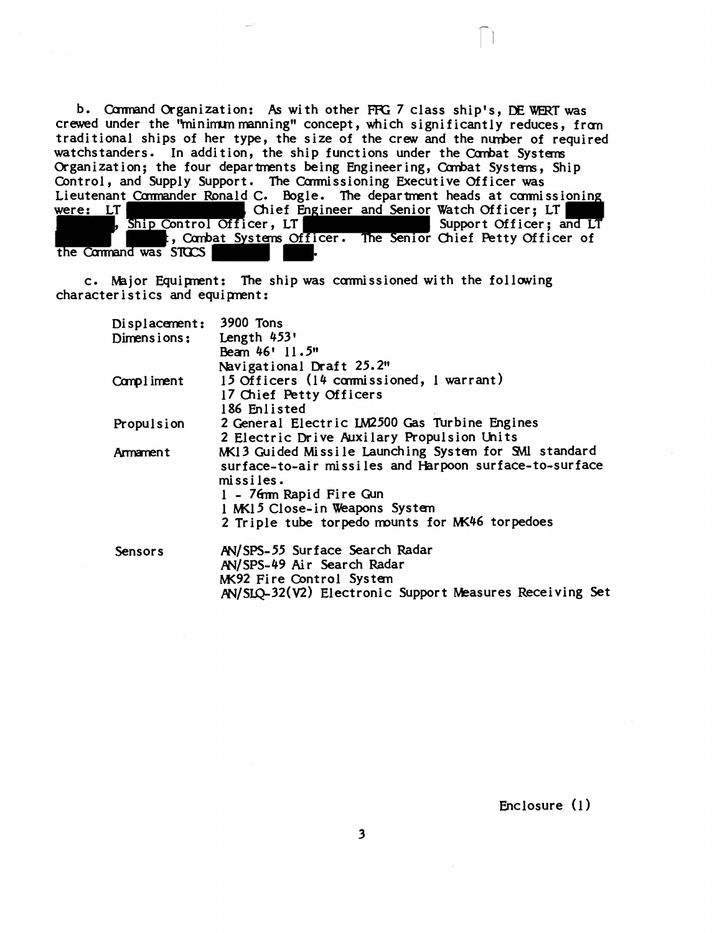b. Command Organization: As with other FFG 7 class ship's, DE WERT was crewed under the "minimum manning" concept, which significantly reduces, from traditional ships of her type, the size of the crew and the nunber of required watchstanders. In addition, the ship functions under the Combat Systems Organization; the four departments being Engineering, Combat Systems, Ship Control, and Supply Support. The Commissioning Executive Officer was Lieutenant Commander Ronald C. Bogle. The department heads at commissioning<br>were: LT T , Chief Engineer and Senior Watch Officer; LT , Ship Control Officer, LT , Ship Control Officer, LT t, Combat Systems Officer. The Senior Chief Petty Officer of the Command was  $STGCS$ 

c. Major Equipnent: The shipwas carmissioned with the following characteristics and equipnent:

| Displacement: 3900 Tons |                                                         |
|-------------------------|---------------------------------------------------------|
| Dimensions:             | Length 453'                                             |
|                         | Beam 46' 11.5"                                          |
|                         | Navigational Draft 25.2"                                |
| Compliment              | 15 Officers (14 commissioned, 1 warrant)                |
|                         | 17 Chief Petty Officers                                 |
|                         | 186 Enlisted                                            |
| Propulsion              | 2 General Electric LM2500 Gas Turbine Engines           |
|                         | 2 Electric Drive Auxilary Propulsion Units              |
| Armament                | MK13 Guided Missile Launching System for SMI standard   |
|                         | surface-to-air missiles and Harpoon surface-to-surface  |
|                         | missiles.                                               |
|                         | 1 - 76mm Rapid Fire Gun                                 |
|                         | 1 MK15 Close-in Weapons System                          |
|                         | 2 Triple tube torpedo mounts for MK46 torpedoes         |
| Sensors                 | AN/SPS-55 Surface Search Radar                          |
|                         | AN/SPS-49 Air Search Radar                              |
|                         | MK92 Fire Control System                                |
|                         | AN/SLQ-32(V2) Electronic Support Measures Receiving Set |
|                         |                                                         |

Enclosure (1)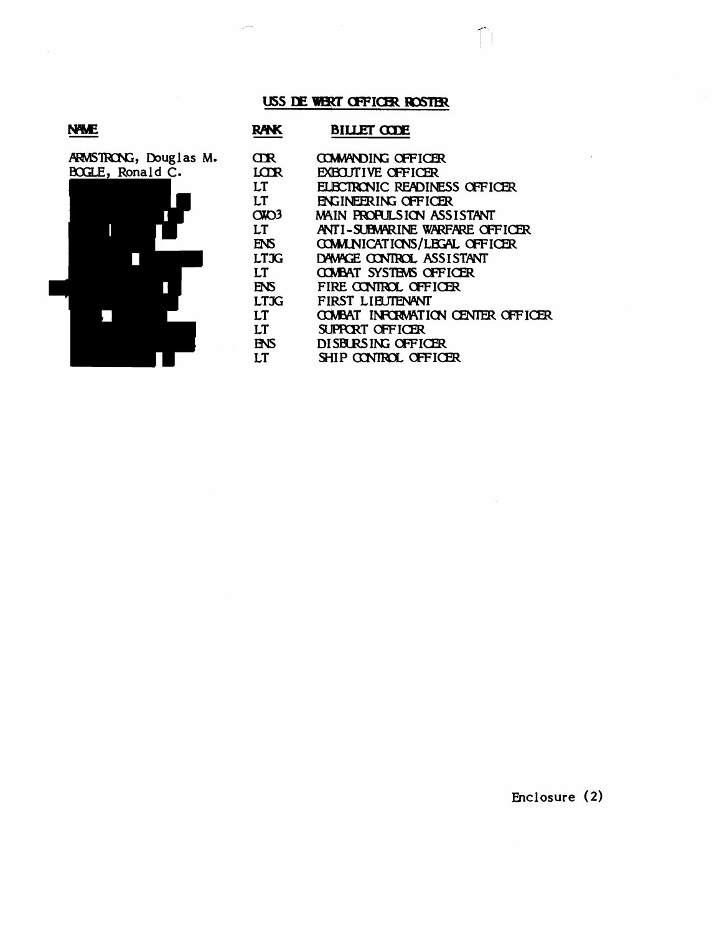#### USS DE WERT OFFICER ROSTER

 $\sim$ 

### **NWE**

|                  | ARMSTRONG, Douglas M. |  |
|------------------|-----------------------|--|
| BOGLE, Ronald C. |                       |  |
|                  |                       |  |
|                  |                       |  |
|                  |                       |  |
|                  |                       |  |
|                  |                       |  |
|                  |                       |  |
|                  |                       |  |
|                  |                       |  |

| RAK         | BILLET CODE                        |
|-------------|------------------------------------|
| ŒR          | <b>COMMANDING OFFICER</b>          |
| LCTR        | <b>EXECUTIVE OFFICER</b>           |
| LT          | ELECTRONIC READINESS OFFICER       |
| LT          | <b>ENGINEERING OFFICER</b>         |
| $C$ KO3     | MAIN PROPULSION ASSISTANT          |
| LT          | ANTI-SUBMARINE WARFARE OFFICER     |
| ENS         | <b>COMUNICATIONS/LEGAL OFFICER</b> |
| <b>LTJG</b> | DAMAGE CONTROL ASSISTANT           |
| LT          | COVEAT SYSTEMS OFFICER             |
| ENS         | FIRE CONTROL OFFICER               |
| <b>LTJG</b> | FIRST LIFIJTENANT                  |
| LT          | COVEAT INFORMATION CENTER OFFICER  |
| LT          | SUPPORT OFFICER                    |
| ENS         | DISBURSING OFFICER                 |
| LТ          | SHIP CONTROL OFFICER               |

 $\bigcap$ 

 $\mathcal{A}$ 

Enclosure (2)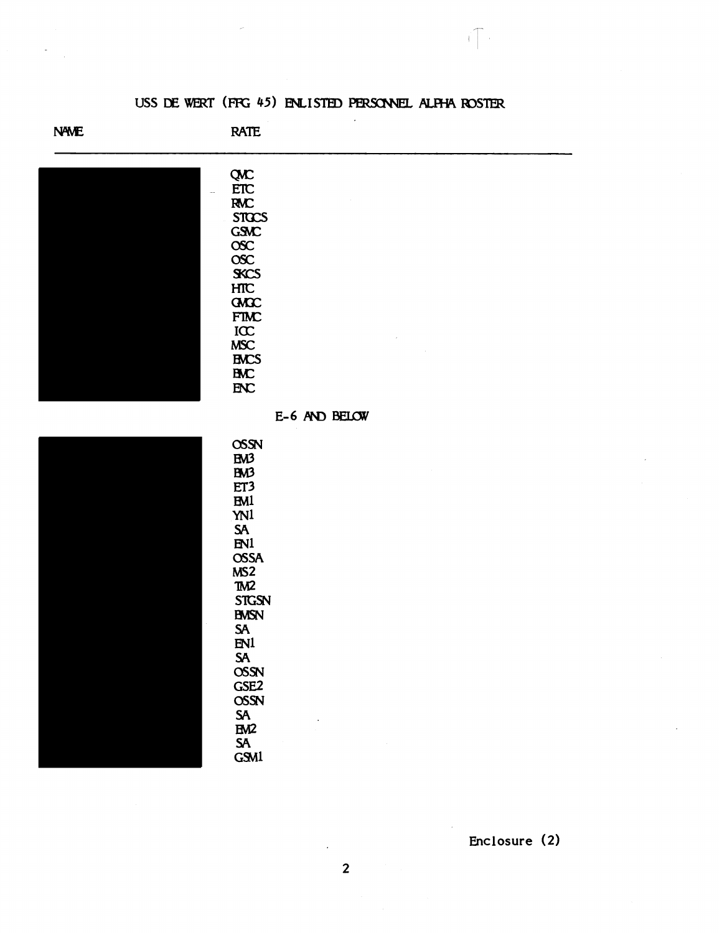### USS DE WERT (FFG 45) ENLISTED PERSONNEL ALFHA ROSTER

ŤГ.

**NAME** 

**RATE** 

**OSSN EM3 BM3** ET3 **EM1 YN1 SA** EN1 **OSSA**  $MS2$ TM<sub>2</sub> **STGSN BMSN** SA  $EN<sup>1</sup>$ **SA OSSN** GSE<sub>2</sub> **OSSN** SA EM<sub>2</sub> **SA**  $GSM1$ 

| <b>QMC</b>       |               |
|------------------|---------------|
| <b>ETC</b><br>÷. |               |
| <b>RMC</b>       |               |
| <b>STOCS</b>     |               |
| <b>GSMC</b>      |               |
| $\csc$           |               |
| $\csc$           |               |
| <b>SKCS</b>      |               |
| HTC              |               |
| <b>GACC</b>      |               |
| <b>FTMC</b>      |               |
| ICC              |               |
| <b>MSC</b>       | $\epsilon$    |
| <b>EMCS</b>      |               |
|                  |               |
| <b>BMC</b>       |               |
| ENC              |               |
|                  |               |
|                  | E-6 AND BELOW |
|                  |               |

|  |  | ł, |
|--|--|----|
|  |  |    |
|  |  |    |
|  |  |    |
|  |  |    |
|  |  |    |

Enclosure (2)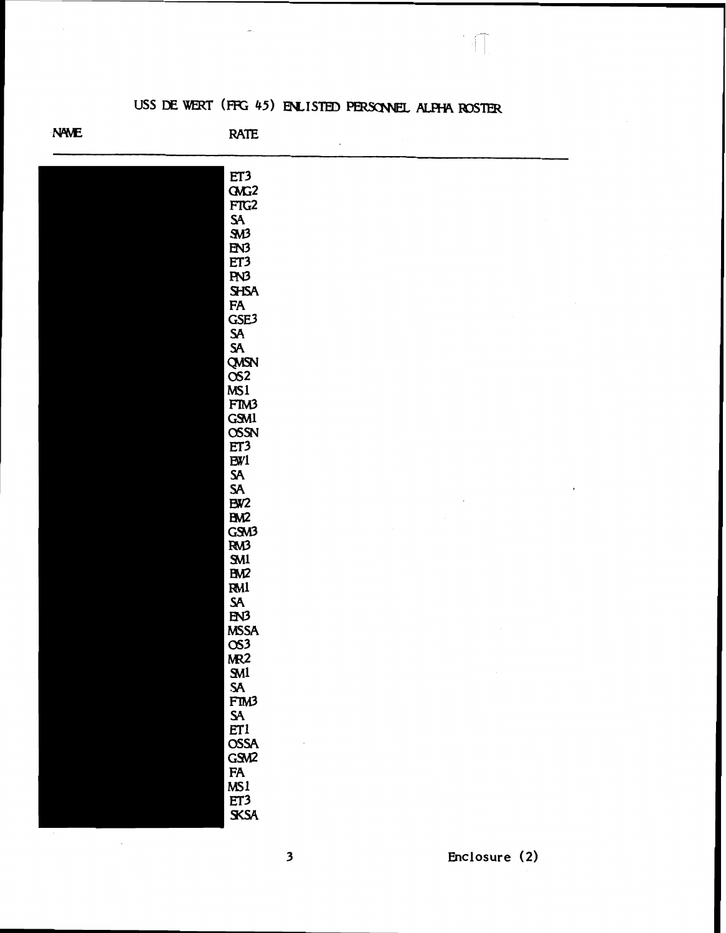# USS DE WERT (FFG 45) ENLISTED PERSONNEL ALPHA ROSTER

 $\sqrt{2}$ 

**NAME** 

**RATE** 

| ET3                        |                |
|----------------------------|----------------|
| $G\Lambda G2$              |                |
| FTG2                       |                |
| $\frac{SA}{SM3}$           |                |
|                            |                |
| EN3<br>ET3                 |                |
|                            |                |
| PN3                        |                |
| <b>SHSA</b>                |                |
| FA<br>GSE3                 |                |
|                            |                |
| SA<br>SA                   |                |
|                            |                |
|                            |                |
|                            |                |
| QMSN<br>OS2<br>MS1<br>FIM3 |                |
|                            |                |
| <b>GSM1</b>                |                |
| <b>OSSN</b>                |                |
| ET3                        |                |
| EW1                        |                |
|                            | $\blacksquare$ |
| SA<br>SA<br>BW2            |                |
| BM2                        |                |
| GSM3                       |                |
| RM3                        |                |
|                            |                |
| SM1<br>BM2                 |                |
| <b>RM1</b>                 |                |
| SA<br>EN3                  |                |
|                            |                |
|                            |                |
|                            |                |
| MSSA<br>OS3<br>MR2         |                |
| <b>SM1</b>                 |                |
| SA<br>FTM3                 |                |
|                            |                |
|                            |                |
| SA<br>ET1<br>OSSA          |                |
| GSM2                       |                |
|                            |                |
|                            |                |
|                            |                |
| FA<br>FA<br>ET3<br>SKSA    |                |
|                            |                |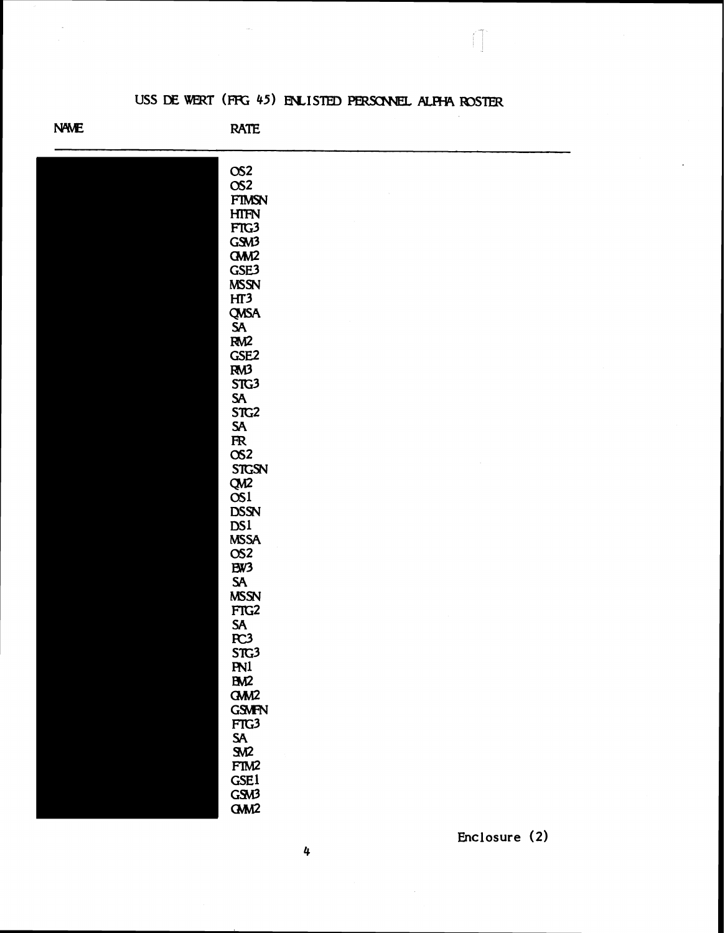## USS DE WERT (FFG 45) ENLISTED PERSONNEL ALPHA ROSTER

**NAME** 

**RATE** 

| OS2                    |  |
|------------------------|--|
| OS <sub>2</sub>        |  |
| $\sim$<br><b>FTMSN</b> |  |
|                        |  |
| <b>HTFN</b>            |  |
| FTG3                   |  |
| GSM3                   |  |
| GM <sub>12</sub>       |  |
| GSE3                   |  |
| <b>MSSN</b>            |  |
| HT3                    |  |
|                        |  |
| QMSA<br>SA<br>RM2      |  |
|                        |  |
| GSE <sub>2</sub>       |  |
| RM3                    |  |
| STG3                   |  |
| ${\sf SA}$             |  |
| STG2                   |  |
| ${\sf SA}$             |  |
| $\overline{\text{R}}$  |  |
| OS <sub>2</sub>        |  |
| <b>STGSN</b>           |  |
| QM2<br>OS1             |  |
|                        |  |
| <b>DSSN</b>            |  |
| DS1                    |  |
| <b>MSSA</b>            |  |
| OS <sub>2</sub>        |  |
| EW3                    |  |
| ${\sf S\!A}$           |  |
| <b>MSSN</b>            |  |
| FTG2                   |  |
| SA<br>PC3              |  |
|                        |  |
| STG <sub>3</sub>       |  |
| <b>PN1</b>             |  |
| B <sub>N</sub> 2       |  |
| GMM <sub>2</sub>       |  |
| <b>GSMFN</b>           |  |
| FTG3                   |  |
| <b>SA</b>              |  |
| <b>SM2</b>             |  |
| FTM2                   |  |
| <b>GSE1</b>            |  |
| GSM3                   |  |
| GMD                    |  |

Enclosure (2)